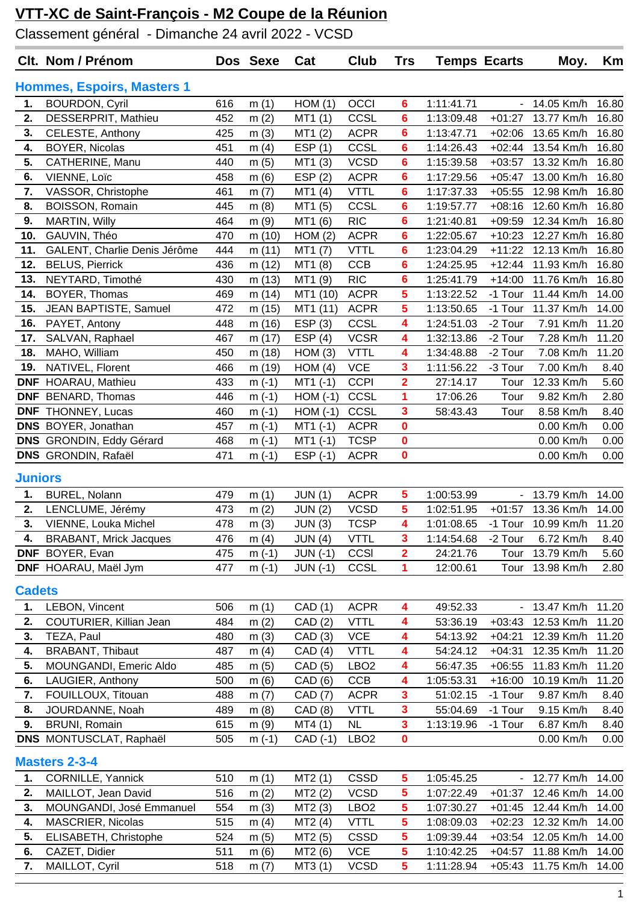Classement général - Dimanche 24 avril 2022 - VCSD

|                | Clt. Nom / Prénom                 |     | Dos Sexe | Cat            | Club             | <b>Trs</b>              | <b>Temps Ecarts</b> |                     | Moy.               | Km    |
|----------------|-----------------------------------|-----|----------|----------------|------------------|-------------------------|---------------------|---------------------|--------------------|-------|
|                | <b>Hommes, Espoirs, Masters 1</b> |     |          |                |                  |                         |                     |                     |                    |       |
| 1.             | <b>BOURDON, Cyril</b>             | 616 | m(1)     | HOM(1)         | OCCI             | $6\phantom{1}$          | 1:11:41.71          | $\blacksquare$      | 14.05 Km/h         | 16.80 |
| 2.             | DESSERPRIT, Mathieu               | 452 | m(2)     | MT1(1)         | CCSL             | 6                       | 1:13:09.48          | $+01:27$            | 13.77 Km/h         | 16.80 |
| 3.             | CELESTE, Anthony                  | 425 | m(3)     | MT1(2)         | <b>ACPR</b>      | 6                       | 1:13:47.71          | $+02:06$            | 13.65 Km/h         | 16.80 |
| 4.             | <b>BOYER, Nicolas</b>             | 451 | m(4)     | ESP(1)         | CCSL             | 6                       | 1:14:26.43          | $+02:44$            | 13.54 Km/h         | 16.80 |
| 5.             | CATHERINE, Manu                   | 440 | m(5)     | MT1 (3)        | <b>VCSD</b>      | 6                       | 1:15:39.58          | $+03:57$            | 13.32 Km/h         | 16.80 |
| 6.             | VIENNE, Loïc                      | 458 | m(6)     | ESP(2)         | <b>ACPR</b>      | 6                       | 1:17:29.56          | $+05:47$            | 13.00 Km/h         | 16.80 |
| 7.             | VASSOR, Christophe                | 461 | m(7)     | MT1(4)         | <b>VTTL</b>      | 6                       | 1:17:37.33          | $+05:55$            | 12.98 Km/h         | 16.80 |
| 8.             | <b>BOISSON, Romain</b>            | 445 | m(8)     | MT1 (5)        | CCSL             | 6                       | 1:19:57.77          | $+08:16$            | 12.60 Km/h         | 16.80 |
| 9.             | <b>MARTIN, Willy</b>              | 464 | m(9)     | MT1 (6)        | <b>RIC</b>       | 6                       | 1:21:40.81          | $+09:59$            | 12.34 Km/h         | 16.80 |
| 10.            | GAUVIN, Théo                      | 470 | m (10)   | HOM(2)         | <b>ACPR</b>      | 6                       | 1:22:05.67          | $+10:23$            | 12.27 Km/h         | 16.80 |
| 11.            | GALENT, Charlie Denis Jérôme      | 444 | m (11)   | MT1 (7)        | <b>VTTL</b>      | 6                       | 1:23:04.29          | $+11:22$            | 12.13 Km/h         | 16.80 |
| 12.            | <b>BELUS, Pierrick</b>            | 436 | m (12)   | MT1 (8)        | CCB              | 6                       | 1:24:25.95          | $+12:44$            | 11.93 Km/h         | 16.80 |
| 13.            | NEYTARD, Timothé                  | 430 | m (13)   | MT1 (9)        | <b>RIC</b>       | 6                       | 1:25:41.79          | $+14:00$            | 11.76 Km/h         | 16.80 |
| 14.            | BOYER, Thomas                     | 469 | m (14)   | MT1 (10)       | <b>ACPR</b>      | 5                       | 1:13:22.52          | -1 Tour             | 11.44 Km/h         | 14.00 |
| 15.            | JEAN BAPTISTE, Samuel             | 472 | m (15)   | MT1 (11)       | <b>ACPR</b>      | 5                       | 1:13:50.65          | -1 Tour             | 11.37 Km/h         | 14.00 |
| 16.            | PAYET, Antony                     | 448 | m (16)   | ESP(3)         | CCSL             | 4                       | 1:24:51.03          | -2 Tour             | 7.91 Km/h          | 11.20 |
| 17.            | SALVAN, Raphael                   | 467 | m (17)   | ESP(4)         | <b>VCSR</b>      | 4                       | 1:32:13.86          | -2 Tour             | 7.28 Km/h          | 11.20 |
| 18.            | MAHO, William                     | 450 | m (18)   | HOM(3)         | <b>VTTL</b>      | 4                       | 1:34:48.88          | -2 Tour             | 7.08 Km/h          | 11.20 |
| 19.            | NATIVEL, Florent                  | 466 | m (19)   | HOM(4)         | <b>VCE</b>       | 3                       | 1:11:56.22          | -3 Tour             | 7.00 Km/h          | 8.40  |
|                | <b>DNF</b> HOARAU, Mathieu        | 433 | $m(-1)$  | $MT1$ (-1)     | <b>CCPI</b>      | $\overline{\mathbf{2}}$ | 27:14.17            | Tour                | 12.33 Km/h         | 5.60  |
| <b>DNF</b>     | <b>BENARD, Thomas</b>             | 446 | $m(-1)$  | $HOM(-1)$      | CCSL             | 1                       | 17:06.26            | Tour                | 9.82 Km/h          | 2.80  |
| <b>DNF</b>     | THONNEY, Lucas                    | 460 | $m(-1)$  | $HOM(-1)$      | CCSL             | 3                       | 58:43.43            | Tour                | 8.58 Km/h          | 8.40  |
|                | DNS BOYER, Jonathan               | 457 | $m(-1)$  | $MT1(-1)$      | <b>ACPR</b>      | 0                       |                     |                     | 0.00 Km/h          | 0.00  |
|                | DNS GRONDIN, Eddy Gérard          | 468 | $m(-1)$  | $MT1$ (-1)     | <b>TCSP</b>      | $\bf{0}$                |                     |                     | 0.00 Km/h          | 0.00  |
|                | <b>DNS</b> GRONDIN, Rafaël        | 471 | $m(-1)$  | $ESP(-1)$      | <b>ACPR</b>      | $\mathbf 0$             |                     |                     | 0.00 Km/h          | 0.00  |
| <b>Juniors</b> |                                   |     |          |                |                  |                         |                     |                     |                    |       |
| 1.             | <b>BUREL, Nolann</b>              | 479 | m(1)     | JUN(1)         | <b>ACPR</b>      | 5                       | 1:00:53.99          | $\omega_{\rm{eff}}$ | 13.79 Km/h         | 14.00 |
| 2.             | LENCLUME, Jérémy                  | 473 | m(2)     | <b>JUN (2)</b> | <b>VCSD</b>      | 5                       | 1:02:51.95          | $+01:57$            | 13.36 Km/h         | 14.00 |
| 3.             | VIENNE, Louka Michel              | 478 | m(3)     | JUN(3)         | <b>TCSP</b>      | 4                       | 1:01:08.65          |                     | -1 Tour 10.99 Km/h | 11.20 |
| 4.             | <b>BRABANT, Mrick Jacques</b>     | 476 | m $(4)$  | JUN(4)         | <b>VTTL</b>      | 3                       | 1:14:54.68          | -2 Tour             | 6.72 Km/h          | 8.40  |
| <b>DNF</b>     | BOYER, Evan                       | 475 | $m(-1)$  | $JUN$ (-1)     | CCSI             | $\overline{\mathbf{2}}$ | 24:21.76            | Tour                | 13.79 Km/h         | 5.60  |
|                | DNF HOARAU, Maël Jym              | 477 | $m(-1)$  | $JUN$ (-1)     | CCSL             | 1                       | 12:00.61            | Tour                | 13.98 Km/h         | 2.80  |
| <b>Cadets</b>  |                                   |     |          |                |                  |                         |                     |                     |                    |       |
| 1.             | LEBON, Vincent                    | 506 | m(1)     | CAD (1)        | <b>ACPR</b>      | 4                       | 49:52.33            |                     | - 13.47 Km/h       | 11.20 |
| 2.             | COUTURIER, Killian Jean           | 484 | m(2)     | CAD(2)         | <b>VTTL</b>      | 4                       | 53:36.19            | $+03:43$            | 12.53 Km/h         | 11.20 |
| 3.             | TEZA, Paul                        | 480 | m(3)     | CAD(3)         | <b>VCE</b>       | 4                       | 54:13.92            | $+04:21$            | 12.39 Km/h         | 11.20 |
| 4.             | <b>BRABANT, Thibaut</b>           | 487 | m(4)     | CAD(4)         | <b>VTTL</b>      | 4                       | 54:24.12            | $+04:31$            | 12.35 Km/h         | 11.20 |
| 5.             | MOUNGANDI, Emeric Aldo            | 485 | m(5)     | CAD (5)        | LBO <sub>2</sub> | 4                       | 56:47.35            | $+06:55$            | 11.83 Km/h         | 11.20 |
| 6.             | LAUGIER, Anthony                  | 500 | m(6)     | CAD (6)        | <b>CCB</b>       | 4                       | 1:05:53.31          | $+16:00$            | 10.19 Km/h         | 11.20 |
| 7.             | FOUILLOUX, Titouan                | 488 | m(7)     | CAD (7)        | <b>ACPR</b>      | 3                       | 51:02.15            | -1 Tour             | 9.87 Km/h          | 8.40  |
| 8.             | JOURDANNE, Noah                   | 489 | m(8)     | CAD (8)        | <b>VTTL</b>      | 3                       | 55:04.69            | -1 Tour             | 9.15 Km/h          | 8.40  |
| 9.             | <b>BRUNI, Romain</b>              | 615 | m(9)     | MT4(1)         | <b>NL</b>        | $\mathbf{3}$            | 1:13:19.96          | -1 Tour             | 6.87 Km/h          | 8.40  |
|                | DNS MONTUSCLAT, Raphaël           | 505 | $m(-1)$  | CAD (-1)       | LBO <sub>2</sub> | $\mathbf 0$             |                     |                     | 0.00 Km/h          | 0.00  |
|                |                                   |     |          |                |                  |                         |                     |                     |                    |       |
|                | <b>Masters 2-3-4</b>              |     |          |                |                  |                         |                     |                     |                    |       |
| 1.             | <b>CORNILLE, Yannick</b>          | 510 | m(1)     | MT2(1)         | <b>CSSD</b>      | 5 <sup>5</sup>          | 1:05:45.25          | ۰                   | 12.77 Km/h         | 14.00 |
| 2.             | MAILLOT, Jean David               | 516 | m(2)     | MT2(2)         | <b>VCSD</b>      | 5                       | 1:07:22.49          | $+01:37$            | 12.46 Km/h         | 14.00 |
| 3.             | MOUNGANDI, José Emmanuel          | 554 | m(3)     | MT2(3)         | LBO <sub>2</sub> | 5                       | 1:07:30.27          | $+01:45$            | 12.44 Km/h         | 14.00 |
| 4.             | <b>MASCRIER, Nicolas</b>          | 515 | m $(4)$  | MT2(4)         | <b>VTTL</b>      | 5                       | 1:08:09.03          | $+02:23$            | 12.32 Km/h         | 14.00 |
| 5.             | ELISABETH, Christophe             | 524 | m(5)     | MT2 (5)        | <b>CSSD</b>      | 5                       | 1:09:39.44          | $+03:54$            | 12.05 Km/h         | 14.00 |
| 6.             | CAZET, Didier                     | 511 | m(6)     | MT2 (6)        | <b>VCE</b>       | 5                       | 1:10:42.25          | $+04:57$            | 11.88 Km/h         | 14.00 |
| 7.             | MAILLOT, Cyril                    | 518 | m(7)     | MT3 (1)        | <b>VCSD</b>      | 5                       | 1:11:28.94          | $+05:43$            | 11.75 Km/h         | 14.00 |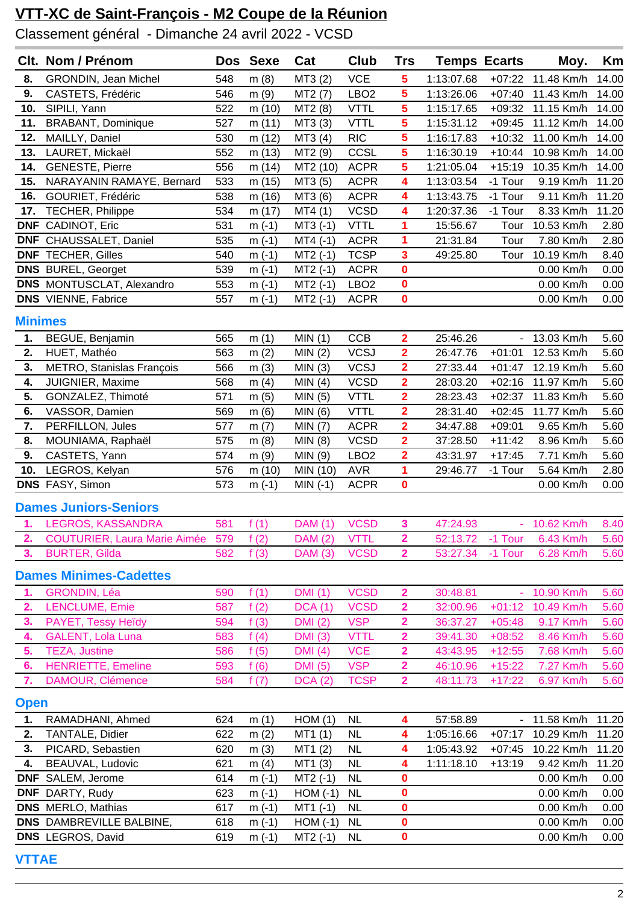Classement général - Dimanche 24 avril 2022 - VCSD

|                                                                               | Clt. Nom / Prénom                    |     | Dos Sexe     | Cat              | Club             | <b>Trs</b>              | <b>Temps Ecarts</b>      |                          | Moy.                     | Km             |
|-------------------------------------------------------------------------------|--------------------------------------|-----|--------------|------------------|------------------|-------------------------|--------------------------|--------------------------|--------------------------|----------------|
| 8.                                                                            | GRONDIN, Jean Michel                 | 548 | m(8)         | MT3(2)           | <b>VCE</b>       | 5                       | 1:13:07.68               | $+07:22$                 | 11.48 Km/h               | 14.00          |
| 9.                                                                            | CASTETS, Frédéric                    | 546 | m(9)         | MT2 (7)          | LBO <sub>2</sub> | 5                       | 1:13:26.06               | $+07:40$                 | 11.43 Km/h               | 14.00          |
| 10.                                                                           | SIPILI, Yann                         | 522 | m(10)        | MT2 (8)          | <b>VTTL</b>      | 5                       | 1:15:17.65               | $+09:32$                 | 11.15 Km/h               | 14.00          |
| 11.                                                                           | <b>BRABANT, Dominique</b>            | 527 | m (11)       | MT3 (3)          | <b>VTTL</b>      | 5                       | 1:15:31.12               | $+09:45$                 | 11.12 Km/h               | 14.00          |
| 12.                                                                           | MAILLY, Daniel                       | 530 | m (12)       | MT3 (4)          | <b>RIC</b>       | $\overline{\mathbf{5}}$ | 1:16:17.83               | $+10:32$                 | 11.00 Km/h               | 14.00          |
| 13.                                                                           | LAURET, Mickaël                      | 552 | m(13)        | MT2 (9)          | CCSL             | 5                       | 1:16:30.19               | $+10:44$                 | 10.98 Km/h               | 14.00          |
| 14.                                                                           | <b>GENESTE, Pierre</b>               | 556 | m (14)       | MT2 (10)         | <b>ACPR</b>      | 5                       | 1:21:05.04               | $+15:19$                 | 10.35 Km/h               | 14.00          |
| 15.                                                                           | NARAYANIN RAMAYE, Bernard            | 533 | m (15)       | MT3 (5)          | <b>ACPR</b>      | 4                       | 1:13:03.54               | -1 Tour                  | 9.19 Km/h                | 11.20          |
| 16.                                                                           | GOURIET, Frédéric                    | 538 | m (16)       | MT3 (6)          | <b>ACPR</b>      | 4                       | 1:13:43.75               | -1 Tour                  | 9.11 Km/h                | 11.20          |
| 17.                                                                           | TECHER, Philippe                     | 534 | m (17)       | MT4(1)           | <b>VCSD</b>      | 4                       | 1:20:37.36               | -1 Tour                  | 8.33 Km/h                | 11.20          |
| <b>DNF</b>                                                                    | CADINOT, Eric                        | 531 | $m(-1)$      | $MT3$ (-1)       | <b>VTTL</b>      | 1                       | 15:56.67                 | Tour                     | 10.53 Km/h               | 2.80           |
| <b>DNF</b>                                                                    | CHAUSSALET, Daniel                   | 535 | $m(-1)$      | $MT4(-1)$        | <b>ACPR</b>      | 1                       | 21:31.84                 | Tour                     | 7.80 Km/h                | 2.80           |
| <b>DNF</b>                                                                    | <b>TECHER, Gilles</b>                | 540 | $m(-1)$      | $MT2$ (-1)       | <b>TCSP</b>      | 3                       | 49:25.80                 | Tour                     | 10.19 Km/h               | 8.40           |
|                                                                               | <b>DNS</b> BUREL, Georget            | 539 | $m(-1)$      | $MT2$ (-1)       | <b>ACPR</b>      | $\mathbf 0$             |                          |                          | 0.00 Km/h                | 0.00           |
|                                                                               | <b>DNS</b> MONTUSCLAT, Alexandro     | 553 | $m(-1)$      | $MT2$ (-1)       | LBO <sub>2</sub> | $\mathbf 0$             |                          |                          | 0.00 Km/h                | 0.00           |
|                                                                               | <b>DNS</b> VIENNE, Fabrice           | 557 | $m(-1)$      | $MT2$ (-1)       | <b>ACPR</b>      | $\mathbf 0$             |                          |                          | 0.00 Km/h                | 0.00           |
|                                                                               |                                      |     |              |                  |                  |                         |                          |                          |                          |                |
| <b>Minimes</b>                                                                |                                      |     |              |                  |                  |                         |                          |                          |                          |                |
| 1.                                                                            | BEGUE, Benjamin                      | 565 | m(1)         | MIN(1)           | <b>CCB</b>       | $\overline{\mathbf{2}}$ | 25:46.26                 | $\overline{\phantom{a}}$ | 13.03 Km/h               | 5.60           |
| 2.                                                                            | HUET, Mathéo                         | 563 | m(2)         | MIN(2)           | <b>VCSJ</b>      | $\overline{\mathbf{2}}$ | 26:47.76                 | $+01:01$                 | 12.53 Km/h               | 5.60           |
| 3.                                                                            | METRO, Stanislas François            | 566 | m(3)         | MIN(3)           | <b>VCSJ</b>      | $\overline{\mathbf{2}}$ | 27:33.44                 | $+01:47$                 | 12.19 Km/h               | 5.60           |
| 4.                                                                            | JUIGNIER, Maxime                     | 568 | m(4)         | MIN(4)           | <b>VCSD</b>      | $\overline{\mathbf{2}}$ | 28:03.20                 | $+02:16$                 | 11.97 Km/h               | 5.60           |
| 5.                                                                            | GONZALEZ, Thimoté                    | 571 | m(5)         | MIN(5)           | <b>VTTL</b>      | $\overline{\mathbf{2}}$ | 28:23.43                 | $+02:37$                 | 11.83 Km/h               | 5.60           |
| 6.                                                                            | VASSOR, Damien                       | 569 | m(6)         | MIN(6)           | <b>VTTL</b>      | $\overline{2}$          | 28:31.40                 | $+02:45$                 | 11.77 Km/h               | 5.60           |
| 7.                                                                            | PERFILLON, Jules                     | 577 | m(7)         | MIN (7)          | <b>ACPR</b>      | $\overline{\mathbf{2}}$ | 34:47.88                 | $+09:01$                 | 9.65 Km/h                | 5.60           |
| 8.                                                                            | MOUNIAMA, Raphaël                    | 575 | m(8)         | MIN(8)           | <b>VCSD</b>      | $\overline{\mathbf{2}}$ | 37:28.50                 | $+11:42$                 | 8.96 Km/h                | 5.60           |
| 9.                                                                            | CASTETS, Yann                        | 574 | m(9)         | MIN (9)          | LBO <sub>2</sub> | $\overline{\mathbf{2}}$ | 43:31.97                 | $+17:45$                 | 7.71 Km/h                | 5.60           |
| 10.                                                                           | LEGROS, Kelyan                       | 576 | m (10)       | MIN (10)         | <b>AVR</b>       | 1                       | 29:46.77                 | -1 Tour                  | 5.64 Km/h                | 2.80           |
| DNS FASY, Simon<br><b>ACPR</b><br>$\mathbf 0$<br>573<br>$m(-1)$<br>$MIN (-1)$ |                                      |     |              |                  |                  | 0.00 Km/h               | 0.00                     |                          |                          |                |
|                                                                               | <b>Dames Juniors-Seniors</b>         |     |              |                  |                  |                         |                          |                          |                          |                |
| 1.                                                                            | LEGROS, KASSANDRA                    | 581 | f(1)         | <b>DAM</b> (1)   | <b>VCSD</b>      | $\mathbf{3}$            | 47:24.93                 |                          | $-10.62$ Km/h            | 8.40           |
| 2.                                                                            | <b>COUTURIER, Laura Marie Aimée</b>  | 579 | f(2)         | DAM (2)          | <b>VTTL</b>      | $\overline{\mathbf{2}}$ | 52:13.72                 | -1 Tour                  | 6.43 Km/h                | 5.60           |
| 3.                                                                            | <b>BURTER, Gilda</b>                 | 582 | f(3)         | <b>DAM (3)</b>   | <b>VCSD</b>      | $\overline{2}$          | 53:27.34                 | -1 Tour                  | 6.28 Km/h                | 5.60           |
|                                                                               | <b>Dames Minimes-Cadettes</b>        |     |              |                  |                  |                         |                          |                          |                          |                |
| 1.                                                                            | <b>GRONDIN, Léa</b>                  | 590 | f(1)         | <b>DMI</b> (1)   | <b>VCSD</b>      | $\overline{\mathbf{2}}$ | 30:48.81                 | $\overline{\phantom{a}}$ | 10.90 Km/h               | 5.60           |
| 2.                                                                            | LENCLUME, Emie                       | 587 | f(2)         | <b>DCA</b> (1)   | <b>VCSD</b>      | $\overline{\mathbf{2}}$ | 32:00.96                 | $+01:12$                 | 10.49 Km/h               | 5.60           |
| 3.                                                                            | PAYET, Tessy Heïdy                   | 594 | f(3)         | DMI(2)           | <b>VSP</b>       | $\overline{\mathbf{2}}$ | 36:37.27                 | $+05:48$                 | 9.17 Km/h                | 5.60           |
| 4.                                                                            | <b>GALENT, Lola Luna</b>             | 583 | f(4)         | DMI(3)           | <b>VTTL</b>      | $\overline{\mathbf{2}}$ | 39:41.30                 | $+08:52$                 | 8.46 Km/h                | 5.60           |
| 5.                                                                            | <b>TEZA, Justine</b>                 | 586 | f(5)         | DMI(4)           | <b>VCE</b>       | $\overline{\mathbf{2}}$ | 43:43.95                 | $+12:55$                 | 7.68 Km/h                | 5.60           |
| 6.                                                                            | <b>HENRIETTE, Emeline</b>            | 593 | f(6)         | <b>DMI</b> (5)   | <b>VSP</b>       | $\overline{\mathbf{2}}$ | 46:10.96                 | $+15:22$                 | 7.27 Km/h                | 5.60           |
| 7.                                                                            | DAMOUR, Clémence                     | 584 | f $(7)$      | DCA(2)           | <b>TCSP</b>      | $\overline{\mathbf{2}}$ | 48:11.73                 | $+17:22$                 | 6.97 Km/h                | 5.60           |
|                                                                               |                                      |     |              |                  |                  |                         |                          |                          |                          |                |
| <b>Open</b><br>1.                                                             | RAMADHANI, Ahmed                     | 624 |              |                  | <b>NL</b>        |                         | 57:58.89                 |                          | - 11.58 Km/h             | 11.20          |
| 2.                                                                            |                                      | 622 | m(1)         | HOM(1)           | <b>NL</b>        | 4<br>4                  |                          |                          |                          |                |
| 3.                                                                            | TANTALE, Didier<br>PICARD, Sebastien | 620 | m(2)<br>m(3) | MT1(1)<br>MT1(2) | <b>NL</b>        | 4                       | 1:05:16.66<br>1:05:43.92 | $+07:17$<br>$+07:45$     | 10.29 Km/h<br>10.22 Km/h | 11.20<br>11.20 |
| 4.                                                                            | BEAUVAL, Ludovic                     | 621 | m(4)         | MT1(3)           | <b>NL</b>        | 4                       | 1:11:18.10               | $+13:19$                 | 9.42 Km/h                | 11.20          |
| <b>DNF</b>                                                                    | SALEM, Jerome                        | 614 | $m(-1)$      | $MT2$ (-1)       | <b>NL</b>        | $\mathbf 0$             |                          |                          | 0.00 Km/h                | 0.00           |
|                                                                               | <b>DNF</b> DARTY, Rudy               | 623 | $m(-1)$      | $HOM(-1)$        | <b>NL</b>        | $\mathbf 0$             |                          |                          | 0.00 Km/h                | 0.00           |
|                                                                               | <b>DNS</b> MERLO, Mathias            | 617 | $m(-1)$      | $MT1$ (-1)       | NL               | $\pmb{0}$               |                          |                          | 0.00 Km/h                | 0.00           |
|                                                                               | <b>DNS</b> DAMBREVILLE BALBINE,      | 618 | $m(-1)$      | $HOM(-1)$        | <b>NL</b>        | $\mathbf 0$             |                          |                          | 0.00 Km/h                | 0.00           |
|                                                                               | <b>DNS</b> LEGROS, David             | 619 | $m(-1)$      | $MT2$ (-1)       | <b>NL</b>        | $\mathbf 0$             |                          |                          | 0.00 Km/h                | 0.00           |
|                                                                               |                                      |     |              |                  |                  |                         |                          |                          |                          |                |

**VTTAE**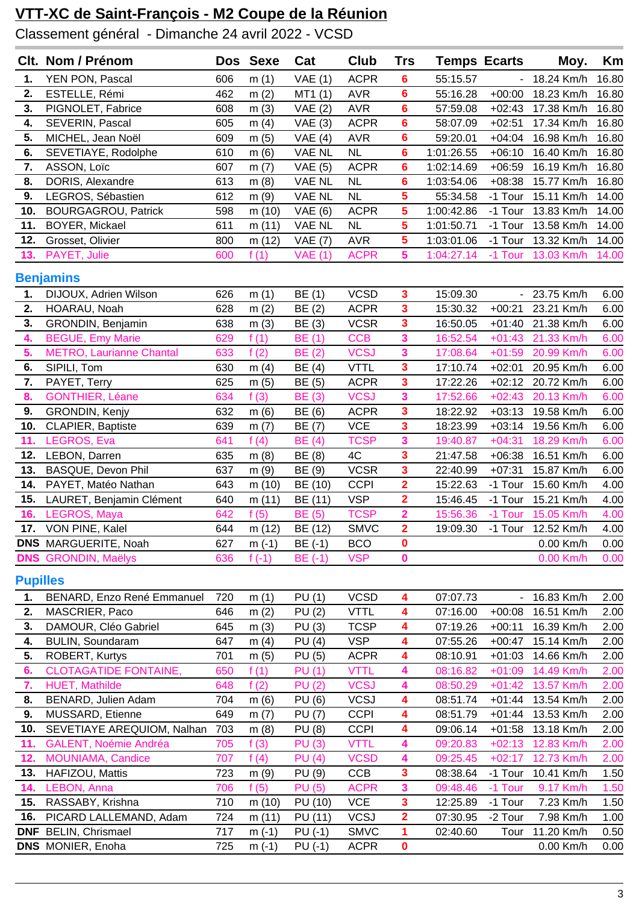Classement général - Dimanche 24 avril 2022 - VCSD

|                 | Clt. Nom / Prénom               |     | Dos Sexe | Cat            | Club        | <b>Trs</b>              | <b>Temps Ecarts</b> |                          | Moy.               | Km    |
|-----------------|---------------------------------|-----|----------|----------------|-------------|-------------------------|---------------------|--------------------------|--------------------|-------|
| 1.              | YEN PON, Pascal                 | 606 | m(1)     | VAE(1)         | <b>ACPR</b> | 6                       | 55:15.57            | $\overline{\phantom{a}}$ | 18.24 Km/h         | 16.80 |
| 2.              | ESTELLE, Rémi                   | 462 | m(2)     | MT1(1)         | <b>AVR</b>  | 6                       | 55:16.28            | $+00:00$                 | 18.23 Km/h         | 16.80 |
| 3.              | PIGNOLET, Fabrice               | 608 | m(3)     | VAE(2)         | <b>AVR</b>  | 6                       | 57:59.08            | $+02:43$                 | 17.38 Km/h         | 16.80 |
| 4.              | SEVERIN, Pascal                 | 605 | m $(4)$  | VAE(3)         | <b>ACPR</b> | 6                       | 58:07.09            | $+02:51$                 | 17.34 Km/h         | 16.80 |
| 5.              | MICHEL, Jean Noël               | 609 | m(5)     | VAE(4)         | <b>AVR</b>  | 6                       | 59:20.01            | $+04:04$                 | 16.98 Km/h         | 16.80 |
| 6.              | SEVETIAYE, Rodolphe             | 610 | m(6)     | <b>VAE NL</b>  | <b>NL</b>   | 6                       | 1:01:26.55          | $+06:10$                 | 16.40 Km/h         | 16.80 |
| 7.              | ASSON, Loïc                     | 607 | m(7)     | <b>VAE</b> (5) | <b>ACPR</b> | 6                       | 1:02:14.69          | $+06:59$                 | 16.19 Km/h         | 16.80 |
| 8.              | DORIS, Alexandre                | 613 | m(8)     | <b>VAE NL</b>  | NL          | 6                       | 1:03:54.06          | $+08:38$                 | 15.77 Km/h         | 16.80 |
| 9.              | LEGROS, Sébastien               | 612 | m(9)     | <b>VAE NL</b>  | <b>NL</b>   | 5                       | 55:34.58            | -1 Tour                  | 15.11 Km/h         | 14.00 |
| 10.             | <b>BOURGAGROU, Patrick</b>      | 598 | m (10)   | <b>VAE</b> (6) | <b>ACPR</b> | 5                       | 1:00:42.86          | -1 Tour                  | 13.83 Km/h         | 14.00 |
| 11.             | BOYER, Mickael                  | 611 | m(11)    | <b>VAE NL</b>  | <b>NL</b>   | 5                       | 1:01:50.71          | -1 Tour                  | 13.58 Km/h         | 14.00 |
| 12.             | Grosset, Olivier                | 800 | m (12)   | <b>VAE</b> (7) | <b>AVR</b>  | 5                       | 1:03:01.06          | -1 Tour                  | 13.32 Km/h         | 14.00 |
| 13.             | PAYET, Julie                    | 600 | f(1)     | <b>VAE (1)</b> | <b>ACPR</b> | 5                       | 1:04:27.14          | -1 Tour                  | 13.03 Km/h         | 14.00 |
|                 | <b>Benjamins</b>                |     |          |                |             |                         |                     |                          |                    |       |
| 1.              | DIJOUX, Adrien Wilson           | 626 | m(1)     | BE (1)         | <b>VCSD</b> | 3                       | 15:09.30            |                          | - 23.75 Km/h       | 6.00  |
| 2.              | HOARAU, Noah                    | 628 | m(2)     | BE (2)         | <b>ACPR</b> | 3                       | 15:30.32            | $+00:21$                 | 23.21 Km/h         | 6.0C  |
| 3.              | GRONDIN, Benjamin               | 638 | m(3)     | BE (3)         | <b>VCSR</b> | 3                       | 16:50.05            | $+01:40$                 | 21.38 Km/h         | 6.00  |
| 4.              | <b>BEGUE, Emy Marie</b>         | 629 | f(1)     | BE (1)         | <b>CCB</b>  | 3                       | 16:52.54            | $+01:43$                 | 21.33 Km/h         | 6.00  |
| 5.              | <b>METRO, Laurianne Chantal</b> | 633 | f(2)     | BE (2)         | <b>VCSJ</b> | 3                       | 17:08.64            | $+01:59$                 | 20.99 Km/h         | 6.00  |
| 6.              | SIPILI, Tom                     | 630 | m $(4)$  | BE (4)         | <b>VTTL</b> | 3                       | 17:10.74            | $+02:01$                 | 20.95 Km/h         | 6.00  |
| 7.              | PAYET, Terry                    | 625 | m(5)     | BE (5)         | <b>ACPR</b> | 3                       | 17:22.26            | $+02:12$                 | 20.72 Km/h         | 6.00  |
| 8.              | <b>GONTHIER, Léane</b>          | 634 | f(3)     | <b>BE</b> (3)  | <b>VCSJ</b> | 3                       | 17:52.66            | $+02:43$                 | 20.13 Km/h         | 6.00  |
| 9.              | GRONDIN, Kenjy                  | 632 | m(6)     | BE (6)         | <b>ACPR</b> | $\overline{\mathbf{3}}$ | 18:22.92            | $+03:13$                 | 19.58 Km/h         | 6.0C  |
| 10.             | CLAPIER, Baptiste               | 639 | m(7)     | BE (7)         | <b>VCE</b>  | 3                       | 18:23.99            | $+03:14$                 | 19.56 Km/h         | 6.00  |
| 11.             | LEGROS, Eva                     | 641 | f(4)     | <b>BE</b> (4)  | <b>TCSP</b> | 3                       | 19:40.87            | $+04:31$                 | 18.29 Km/h         | 6.00  |
| 12.             | LEBON, Darren                   | 635 | m(8)     | BE (8)         | 4C          | 3                       | 21:47.58            | $+06:38$                 | 16.51 Km/h         | 6.0C  |
| 13.             | BASQUE, Devon Phil              | 637 | m(9)     | BE (9)         | <b>VCSR</b> | 3                       | 22:40.99            | $+07:31$                 | 15.87 Km/h         | 6.0C  |
| 14.             | PAYET, Matéo Nathan             | 643 | m(10)    | BE (10)        | <b>CCPI</b> | $\overline{\mathbf{2}}$ | 15:22.63            | -1 Tour                  | 15.60 Km/h         | 4.00  |
| 15.             | LAURET, Benjamin Clément        | 640 | m (11)   | BE (11)        | <b>VSP</b>  | $\overline{\mathbf{2}}$ | 15:46.45            | -1 Tour                  | 15.21 Km/h         | 4.00  |
| 16.             | LEGROS, Maya                    | 642 | f(5)     | <b>BE</b> (5)  | <b>TCSP</b> | $\overline{2}$          | 15:56.36            | -1 Tour                  | 15.05 Km/h         | 4.00  |
|                 | 17. VON PINE, Kalel             | 644 | m(12)    | BE (12)        | <b>SMVC</b> | $\overline{2}$          | 19:09.30            |                          | -1 Tour 12.52 Km/h | 4.00  |
|                 | DNS MARGUERITE, Noah            | 627 | $m(-1)$  | BE (-1)        | <b>BCO</b>  | $\mathbf 0$             |                     |                          | 0.00 Km/h          | 0.00  |
|                 | <b>DNS</b> GRONDIN, Maëlys      | 636 | f $(-1)$ | $BE(-1)$       | <b>VSP</b>  | $\mathbf 0$             |                     |                          | 0.00 Km/h          | 0.00  |
| <b>Pupilles</b> |                                 |     |          |                |             |                         |                     |                          |                    |       |
| 1.              | BENARD, Enzo René Emmanuel      | 720 | m(1)     | PU(1)          | <b>VCSD</b> | 4                       | 07:07.73            | $\blacksquare$           | 16.83 Km/h         | 2.0C  |
| 2.              | MASCRIER, Paco                  | 646 | m(2)     | <b>PU (2)</b>  | <b>VTTL</b> | 4                       | 07:16.00            | $+00:08$                 | 16.51 Km/h         | 2.0C  |
| 3.              | DAMOUR, Cléo Gabriel            | 645 | m(3)     | PU (3)         | <b>TCSP</b> | 4                       | 07:19.26            | $+00:11$                 | 16.39 Km/h         | 2.0C  |
| 4.              | <b>BULIN, Soundaram</b>         | 647 | m $(4)$  | PU(4)          | <b>VSP</b>  | 4                       | 07:55.26            | $+00:47$                 | 15.14 Km/h         | 2.0C  |
| 5.              | ROBERT, Kurtys                  | 701 | m(5)     | <b>PU</b> (5)  | <b>ACPR</b> | 4                       | 08:10.91            | $+01:03$                 | 14.66 Km/h         | 2.0C  |
| 6.              | <b>CLOTAGATIDE FONTAINE,</b>    | 650 | f(1)     | PU(1)          | <b>VTTL</b> | 4                       | 08:16.82            | $+01:09$                 | 14.49 Km/h         | 2.00  |
| 7.              | <b>HUET, Mathilde</b>           | 648 | f(2)     | <b>PU (2)</b>  | <b>VCSJ</b> | 4                       | 08:50.29            | $+01:42$                 | 13.57 Km/h         | 2.00  |
| 8.              | BENARD, Julien Adam             | 704 | m(6)     | <b>PU</b> (6)  | <b>VCSJ</b> | 4                       | 08:51.74            | $+01:44$                 | 13.54 Km/h         | 2.0C  |
| 9.              | MUSSARD, Etienne                | 649 | m(7)     | <b>PU (7)</b>  | <b>CCPI</b> | 4                       | 08:51.79            | $+01:44$                 | 13.53 Km/h         | 2.0C  |
| 10.             | SEVETIAYE AREQUIOM, Nalhan      | 703 | m(8)     | <b>PU (8)</b>  | <b>CCPI</b> | 4                       | 09:06.14            | $+01:58$                 | 13.18 Km/h         | 2.0C  |
| 11.             | <b>GALENT, Noémie Andréa</b>    | 705 | f(3)     | <b>PU (3)</b>  | <b>VTTL</b> | 4                       | 09:20.83            | $+02:13$                 | 12.83 Km/h         | 2.00  |
| 12.             | MOUNIAMA, Candice               | 707 | f(4)     | PU(4)          | <b>VCSD</b> | 4                       | 09:25.45            | $+02:17$                 | 12.73 Km/h         | 2.00  |
| 13.             | HAFIZOU, Mattis                 | 723 | m(9)     | PU (9)         | <b>CCB</b>  | 3                       | 08:38.64            | -1 Tour                  | 10.41 Km/h         | 1.5C  |
| 14.             | LEBON, Anna                     | 706 | f(5)     | <b>PU</b> (5)  | <b>ACPR</b> | 3                       | 09:48.46            | -1 Tour                  | 9.17 Km/h          | 1.5C  |
| 15.             | RASSABY, Krishna                | 710 | m (10)   | PU (10)        | <b>VCE</b>  | 3                       | 12:25.89            | -1 Tour                  | 7.23 Km/h          | 1.5C  |
| 16.             | PICARD LALLEMAND, Adam          | 724 | m (11)   | PU (11)        | <b>VCSJ</b> | $\overline{2}$          | 07:30.95            | -2 Tour                  | 7.98 Km/h          | 1.00  |
|                 | <b>DNF</b> BELIN, Chrismael     | 717 | $m(-1)$  | $PU(-1)$       | <b>SMVC</b> | 1                       | 02:40.60            | Tour                     | 11.20 Km/h         | 0.5C  |
|                 | DNS MONIER, Enoha               | 725 | $m(-1)$  | $PU(-1)$       | <b>ACPR</b> | $\mathbf 0$             |                     |                          | 0.00 Km/h          | 0.00  |
|                 |                                 |     |          |                |             |                         |                     |                          |                    |       |